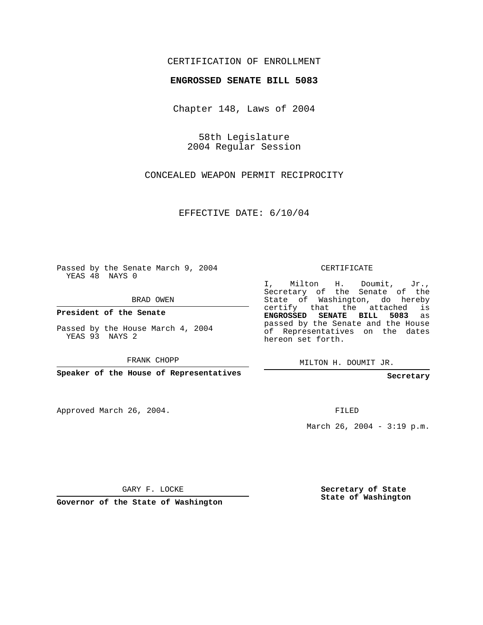## CERTIFICATION OF ENROLLMENT

## **ENGROSSED SENATE BILL 5083**

Chapter 148, Laws of 2004

58th Legislature 2004 Regular Session

CONCEALED WEAPON PERMIT RECIPROCITY

EFFECTIVE DATE: 6/10/04

Passed by the Senate March 9, 2004 YEAS 48 NAYS 0

BRAD OWEN

**President of the Senate**

Passed by the House March 4, 2004 YEAS 93 NAYS 2

FRANK CHOPP

**Speaker of the House of Representatives**

Approved March 26, 2004.

CERTIFICATE

I, Milton H. Doumit, Jr., Secretary of the Senate of the State of Washington, do hereby certify that the attached is **ENGROSSED SENATE BILL 5083** as passed by the Senate and the House of Representatives on the dates hereon set forth.

MILTON H. DOUMIT JR.

**Secretary**

FILED

March 26, 2004 - 3:19 p.m.

GARY F. LOCKE

**Governor of the State of Washington**

**Secretary of State State of Washington**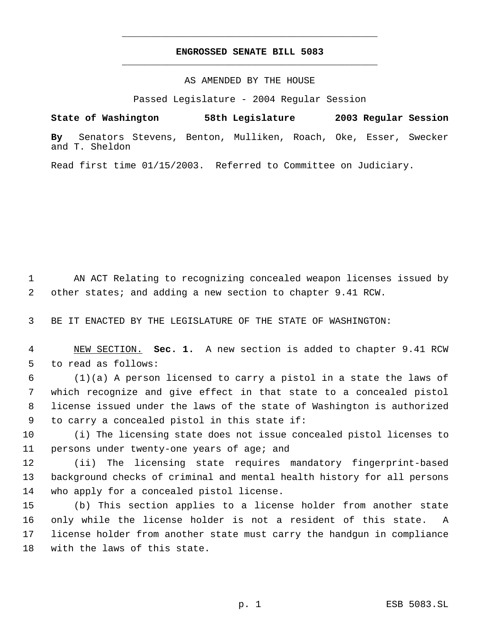## **ENGROSSED SENATE BILL 5083** \_\_\_\_\_\_\_\_\_\_\_\_\_\_\_\_\_\_\_\_\_\_\_\_\_\_\_\_\_\_\_\_\_\_\_\_\_\_\_\_\_\_\_\_\_

\_\_\_\_\_\_\_\_\_\_\_\_\_\_\_\_\_\_\_\_\_\_\_\_\_\_\_\_\_\_\_\_\_\_\_\_\_\_\_\_\_\_\_\_\_

AS AMENDED BY THE HOUSE

Passed Legislature - 2004 Regular Session

**State of Washington 58th Legislature 2003 Regular Session By** Senators Stevens, Benton, Mulliken, Roach, Oke, Esser, Swecker and T. Sheldon

Read first time 01/15/2003. Referred to Committee on Judiciary.

 AN ACT Relating to recognizing concealed weapon licenses issued by other states; and adding a new section to chapter 9.41 RCW.

BE IT ENACTED BY THE LEGISLATURE OF THE STATE OF WASHINGTON:

 NEW SECTION. **Sec. 1.** A new section is added to chapter 9.41 RCW to read as follows:

 (1)(a) A person licensed to carry a pistol in a state the laws of which recognize and give effect in that state to a concealed pistol license issued under the laws of the state of Washington is authorized to carry a concealed pistol in this state if:

 (i) The licensing state does not issue concealed pistol licenses to persons under twenty-one years of age; and

 (ii) The licensing state requires mandatory fingerprint-based background checks of criminal and mental health history for all persons who apply for a concealed pistol license.

 (b) This section applies to a license holder from another state only while the license holder is not a resident of this state. A license holder from another state must carry the handgun in compliance with the laws of this state.